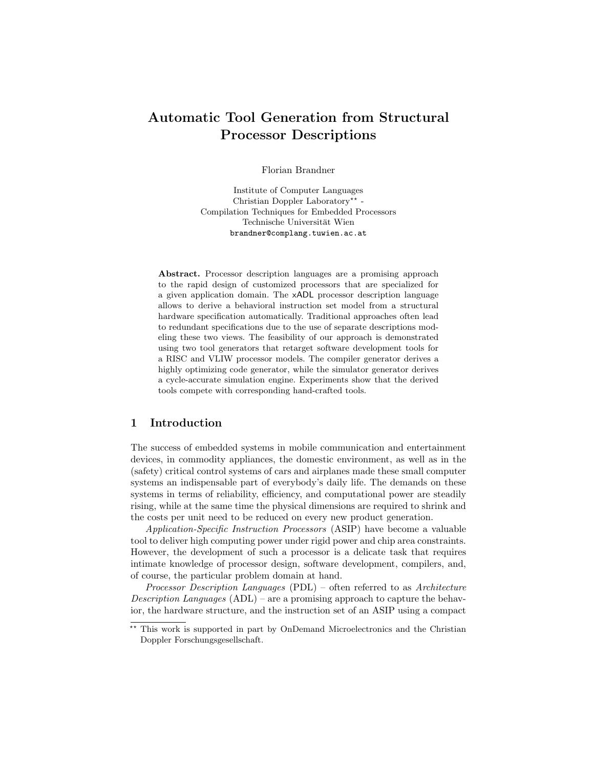# Automatic Tool Generation from Structural Processor Descriptions

Florian Brandner

Institute of Computer Languages Christian Doppler Laboratory<sup>\*\*</sup> -Compilation Techniques for Embedded Processors Technische Universität Wien brandner@complang.tuwien.ac.at

Abstract. Processor description languages are a promising approach to the rapid design of customized processors that are specialized for a given application domain. The xADL processor description language allows to derive a behavioral instruction set model from a structural hardware specification automatically. Traditional approaches often lead to redundant specifications due to the use of separate descriptions modeling these two views. The feasibility of our approach is demonstrated using two tool generators that retarget software development tools for a RISC and VLIW processor models. The compiler generator derives a highly optimizing code generator, while the simulator generator derives a cycle-accurate simulation engine. Experiments show that the derived tools compete with corresponding hand-crafted tools.

## 1 Introduction

The success of embedded systems in mobile communication and entertainment devices, in commodity appliances, the domestic environment, as well as in the (safety) critical control systems of cars and airplanes made these small computer systems an indispensable part of everybody's daily life. The demands on these systems in terms of reliability, efficiency, and computational power are steadily rising, while at the same time the physical dimensions are required to shrink and the costs per unit need to be reduced on every new product generation.

Application-Specific Instruction Processors (ASIP) have become a valuable tool to deliver high computing power under rigid power and chip area constraints. However, the development of such a processor is a delicate task that requires intimate knowledge of processor design, software development, compilers, and, of course, the particular problem domain at hand.

Processor Description Languages (PDL) – often referred to as Architecture Description Languages  $(ADL)$  – are a promising approach to capture the behavior, the hardware structure, and the instruction set of an ASIP using a compact

<sup>\*\*</sup> This work is supported in part by OnDemand Microelectronics and the Christian Doppler Forschungsgesellschaft.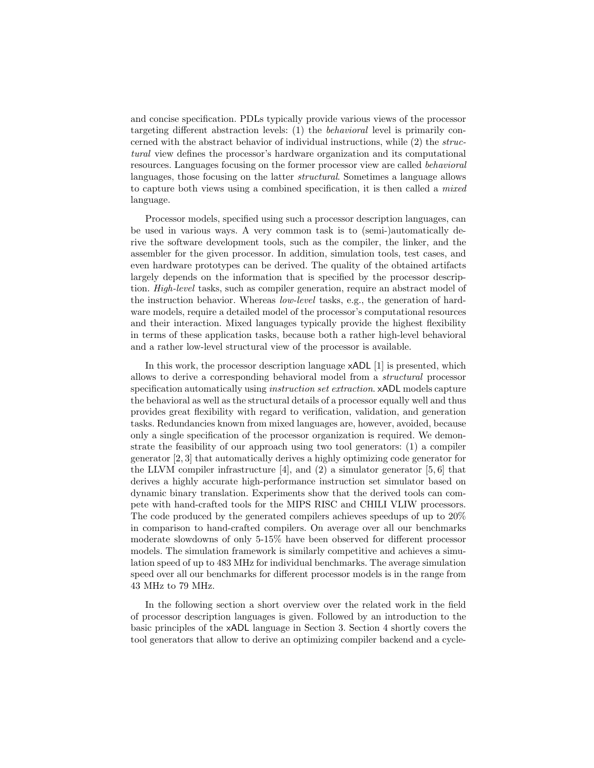and concise specification. PDLs typically provide various views of the processor targeting different abstraction levels: (1) the behavioral level is primarily concerned with the abstract behavior of individual instructions, while (2) the structural view defines the processor's hardware organization and its computational resources. Languages focusing on the former processor view are called behavioral languages, those focusing on the latter structural. Sometimes a language allows to capture both views using a combined specification, it is then called a mixed language.

Processor models, specified using such a processor description languages, can be used in various ways. A very common task is to (semi-)automatically derive the software development tools, such as the compiler, the linker, and the assembler for the given processor. In addition, simulation tools, test cases, and even hardware prototypes can be derived. The quality of the obtained artifacts largely depends on the information that is specified by the processor description. High-level tasks, such as compiler generation, require an abstract model of the instruction behavior. Whereas low-level tasks, e.g., the generation of hardware models, require a detailed model of the processor's computational resources and their interaction. Mixed languages typically provide the highest flexibility in terms of these application tasks, because both a rather high-level behavioral and a rather low-level structural view of the processor is available.

In this work, the processor description language xADL [1] is presented, which allows to derive a corresponding behavioral model from a structural processor specification automatically using *instruction set extraction*. **xADL** models capture the behavioral as well as the structural details of a processor equally well and thus provides great flexibility with regard to verification, validation, and generation tasks. Redundancies known from mixed languages are, however, avoided, because only a single specification of the processor organization is required. We demonstrate the feasibility of our approach using two tool generators: (1) a compiler generator [2, 3] that automatically derives a highly optimizing code generator for the LLVM compiler infrastructure  $[4]$ , and  $(2)$  a simulator generator  $[5, 6]$  that derives a highly accurate high-performance instruction set simulator based on dynamic binary translation. Experiments show that the derived tools can compete with hand-crafted tools for the MIPS RISC and CHILI VLIW processors. The code produced by the generated compilers achieves speedups of up to 20% in comparison to hand-crafted compilers. On average over all our benchmarks moderate slowdowns of only 5-15% have been observed for different processor models. The simulation framework is similarly competitive and achieves a simulation speed of up to 483 MHz for individual benchmarks. The average simulation speed over all our benchmarks for different processor models is in the range from 43 MHz to 79 MHz.

In the following section a short overview over the related work in the field of processor description languages is given. Followed by an introduction to the basic principles of the xADL language in Section 3. Section 4 shortly covers the tool generators that allow to derive an optimizing compiler backend and a cycle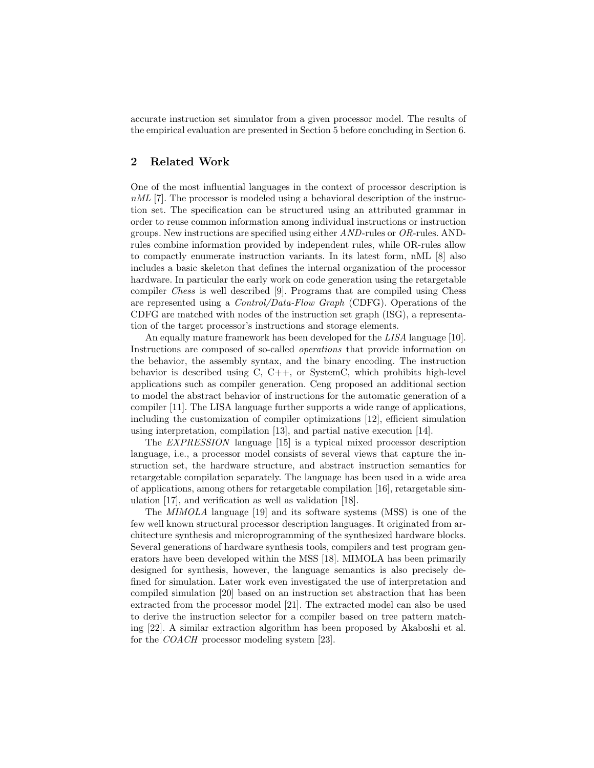accurate instruction set simulator from a given processor model. The results of the empirical evaluation are presented in Section 5 before concluding in Section 6.

## 2 Related Work

One of the most influential languages in the context of processor description is nML [7]. The processor is modeled using a behavioral description of the instruction set. The specification can be structured using an attributed grammar in order to reuse common information among individual instructions or instruction groups. New instructions are specified using either  $AND$ -rules or  $OR$ -rules. ANDrules combine information provided by independent rules, while OR-rules allow to compactly enumerate instruction variants. In its latest form, nML [8] also includes a basic skeleton that defines the internal organization of the processor hardware. In particular the early work on code generation using the retargetable compiler Chess is well described [9]. Programs that are compiled using Chess are represented using a Control/Data-Flow Graph (CDFG). Operations of the CDFG are matched with nodes of the instruction set graph (ISG), a representation of the target processor's instructions and storage elements.

An equally mature framework has been developed for the LISA language [10]. Instructions are composed of so-called operations that provide information on the behavior, the assembly syntax, and the binary encoding. The instruction behavior is described using C, C++, or SystemC, which prohibits high-level applications such as compiler generation. Ceng proposed an additional section to model the abstract behavior of instructions for the automatic generation of a compiler [11]. The LISA language further supports a wide range of applications, including the customization of compiler optimizations [12], efficient simulation using interpretation, compilation [13], and partial native execution [14].

The EXPRESSION language [15] is a typical mixed processor description language, i.e., a processor model consists of several views that capture the instruction set, the hardware structure, and abstract instruction semantics for retargetable compilation separately. The language has been used in a wide area of applications, among others for retargetable compilation [16], retargetable simulation [17], and verification as well as validation [18].

The MIMOLA language [19] and its software systems (MSS) is one of the few well known structural processor description languages. It originated from architecture synthesis and microprogramming of the synthesized hardware blocks. Several generations of hardware synthesis tools, compilers and test program generators have been developed within the MSS [18]. MIMOLA has been primarily designed for synthesis, however, the language semantics is also precisely defined for simulation. Later work even investigated the use of interpretation and compiled simulation [20] based on an instruction set abstraction that has been extracted from the processor model [21]. The extracted model can also be used to derive the instruction selector for a compiler based on tree pattern matching [22]. A similar extraction algorithm has been proposed by Akaboshi et al. for the COACH processor modeling system [23].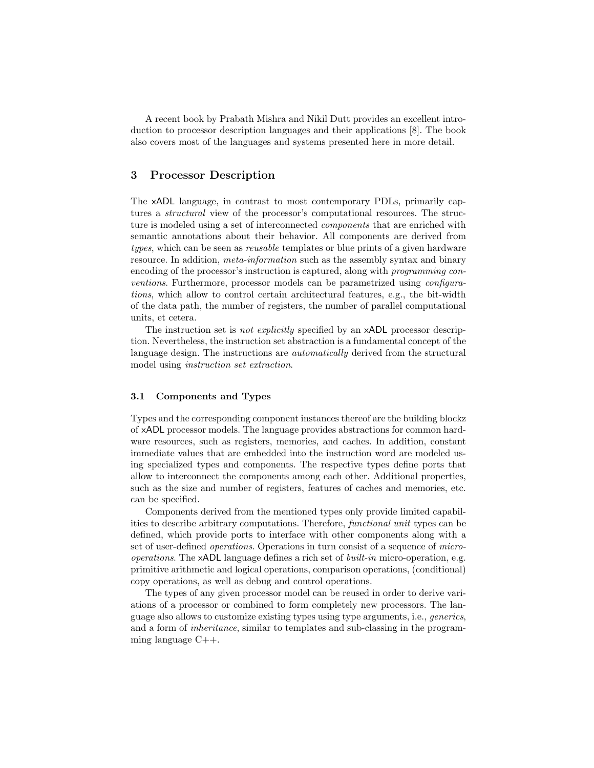A recent book by Prabath Mishra and Nikil Dutt provides an excellent introduction to processor description languages and their applications [8]. The book also covers most of the languages and systems presented here in more detail.

## 3 Processor Description

The xADL language, in contrast to most contemporary PDLs, primarily captures a *structural* view of the processor's computational resources. The structure is modeled using a set of interconnected *components* that are enriched with semantic annotations about their behavior. All components are derived from types, which can be seen as reusable templates or blue prints of a given hardware resource. In addition, *meta-information* such as the assembly syntax and binary encoding of the processor's instruction is captured, along with programming conventions. Furthermore, processor models can be parametrized using configurations, which allow to control certain architectural features, e.g., the bit-width of the data path, the number of registers, the number of parallel computational units, et cetera.

The instruction set is *not explicitly* specified by an xADL processor description. Nevertheless, the instruction set abstraction is a fundamental concept of the language design. The instructions are *automatically* derived from the structural model using instruction set extraction.

#### 3.1 Components and Types

Types and the corresponding component instances thereof are the building blockz of xADL processor models. The language provides abstractions for common hardware resources, such as registers, memories, and caches. In addition, constant immediate values that are embedded into the instruction word are modeled using specialized types and components. The respective types define ports that allow to interconnect the components among each other. Additional properties, such as the size and number of registers, features of caches and memories, etc. can be specified.

Components derived from the mentioned types only provide limited capabilities to describe arbitrary computations. Therefore, functional unit types can be defined, which provide ports to interface with other components along with a set of user-defined operations. Operations in turn consist of a sequence of microoperations. The xADL language defines a rich set of built-in micro-operation, e.g. primitive arithmetic and logical operations, comparison operations, (conditional) copy operations, as well as debug and control operations.

The types of any given processor model can be reused in order to derive variations of a processor or combined to form completely new processors. The language also allows to customize existing types using type arguments, i.e., generics, and a form of inheritance, similar to templates and sub-classing in the programming language C++.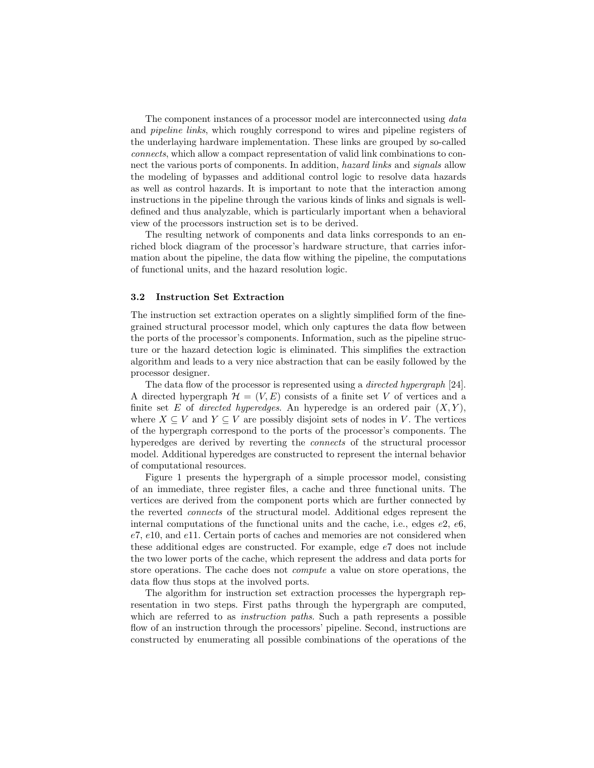The component instances of a processor model are interconnected using data and pipeline links, which roughly correspond to wires and pipeline registers of the underlaying hardware implementation. These links are grouped by so-called connects, which allow a compact representation of valid link combinations to connect the various ports of components. In addition, *hazard links* and *signals* allow the modeling of bypasses and additional control logic to resolve data hazards as well as control hazards. It is important to note that the interaction among instructions in the pipeline through the various kinds of links and signals is welldefined and thus analyzable, which is particularly important when a behavioral view of the processors instruction set is to be derived.

The resulting network of components and data links corresponds to an enriched block diagram of the processor's hardware structure, that carries information about the pipeline, the data flow withing the pipeline, the computations of functional units, and the hazard resolution logic.

#### 3.2 Instruction Set Extraction

The instruction set extraction operates on a slightly simplified form of the finegrained structural processor model, which only captures the data flow between the ports of the processor's components. Information, such as the pipeline structure or the hazard detection logic is eliminated. This simplifies the extraction algorithm and leads to a very nice abstraction that can be easily followed by the processor designer.

The data flow of the processor is represented using a *directed hypergraph* [24]. A directed hypergraph  $\mathcal{H} = (V, E)$  consists of a finite set V of vertices and a finite set E of directed hyperedges. An hyperedge is an ordered pair  $(X, Y)$ , where  $X \subseteq V$  and  $Y \subseteq V$  are possibly disjoint sets of nodes in V. The vertices of the hypergraph correspond to the ports of the processor's components. The hyperedges are derived by reverting the connects of the structural processor model. Additional hyperedges are constructed to represent the internal behavior of computational resources.

Figure 1 presents the hypergraph of a simple processor model, consisting of an immediate, three register files, a cache and three functional units. The vertices are derived from the component ports which are further connected by the reverted connects of the structural model. Additional edges represent the internal computations of the functional units and the cache, i.e., edges  $e2, e6$ ,  $e7, e10,$  and  $e11$ . Certain ports of caches and memories are not considered when these additional edges are constructed. For example, edge e7 does not include the two lower ports of the cache, which represent the address and data ports for store operations. The cache does not compute a value on store operations, the data flow thus stops at the involved ports.

The algorithm for instruction set extraction processes the hypergraph representation in two steps. First paths through the hypergraph are computed, which are referred to as *instruction paths*. Such a path represents a possible flow of an instruction through the processors' pipeline. Second, instructions are constructed by enumerating all possible combinations of the operations of the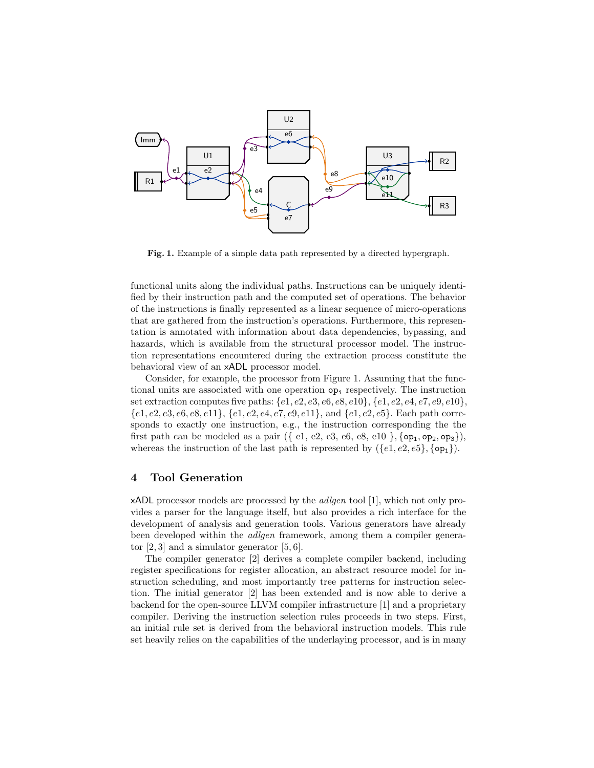

Fig. 1. Example of a simple data path represented by a directed hypergraph.

functional units along the individual paths. Instructions can be uniquely identified by their instruction path and the computed set of operations. The behavior of the instructions is finally represented as a linear sequence of micro-operations that are gathered from the instruction's operations. Furthermore, this representation is annotated with information about data dependencies, bypassing, and hazards, which is available from the structural processor model. The instruction representations encountered during the extraction process constitute the behavioral view of an xADL processor model.

Consider, for example, the processor from Figure 1. Assuming that the functional units are associated with one operation  $op_i$  respectively. The instruction set extraction computes five paths:  $\{e1, e2, e3, e6, e8, e10\}$ ,  $\{e1, e2, e4, e7, e9, e10\}$ ,  $\{e1, e2, e3, e6, e8, e11\}, \{e1, e2, e4, e7, e9, e11\}, \text{and } \{e1, e2, e5\}.$  Each path corresponds to exactly one instruction, e.g., the instruction corresponding the the first path can be modeled as a pair ({ $e1, e2, e3, e6, e8, e10$ }, { $op_1, op_2, op_3$ }), whereas the instruction of the last path is represented by  $({e1, e2, e5}, {\text{op}_1}).$ 

## 4 Tool Generation

xADL processor models are processed by the adlgen tool [1], which not only provides a parser for the language itself, but also provides a rich interface for the development of analysis and generation tools. Various generators have already been developed within the adlgen framework, among them a compiler generator  $[2, 3]$  and a simulator generator  $[5, 6]$ .

The compiler generator [2] derives a complete compiler backend, including register specifications for register allocation, an abstract resource model for instruction scheduling, and most importantly tree patterns for instruction selection. The initial generator [2] has been extended and is now able to derive a backend for the open-source LLVM compiler infrastructure [1] and a proprietary compiler. Deriving the instruction selection rules proceeds in two steps. First, an initial rule set is derived from the behavioral instruction models. This rule set heavily relies on the capabilities of the underlaying processor, and is in many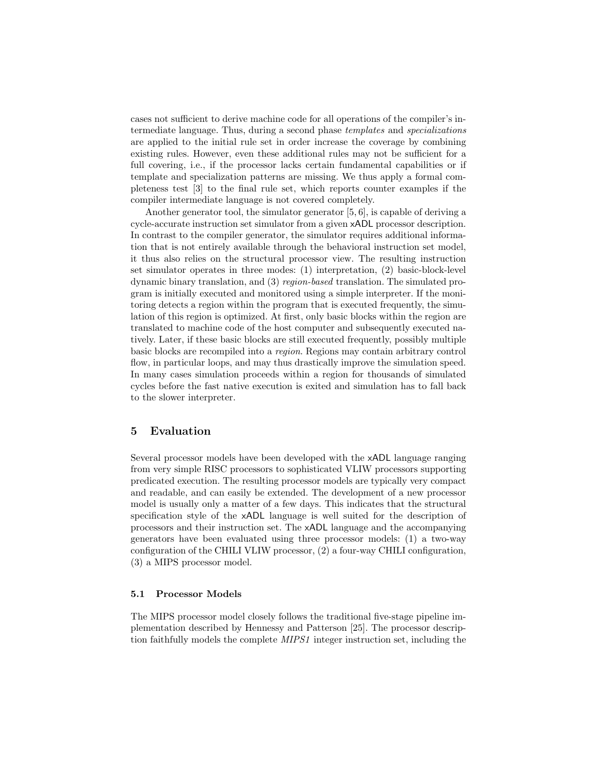cases not sufficient to derive machine code for all operations of the compiler's intermediate language. Thus, during a second phase templates and specializations are applied to the initial rule set in order increase the coverage by combining existing rules. However, even these additional rules may not be sufficient for a full covering, i.e., if the processor lacks certain fundamental capabilities or if template and specialization patterns are missing. We thus apply a formal completeness test [3] to the final rule set, which reports counter examples if the compiler intermediate language is not covered completely.

Another generator tool, the simulator generator [5, 6], is capable of deriving a cycle-accurate instruction set simulator from a given xADL processor description. In contrast to the compiler generator, the simulator requires additional information that is not entirely available through the behavioral instruction set model, it thus also relies on the structural processor view. The resulting instruction set simulator operates in three modes: (1) interpretation, (2) basic-block-level dynamic binary translation, and (3) region-based translation. The simulated program is initially executed and monitored using a simple interpreter. If the monitoring detects a region within the program that is executed frequently, the simulation of this region is optimized. At first, only basic blocks within the region are translated to machine code of the host computer and subsequently executed natively. Later, if these basic blocks are still executed frequently, possibly multiple basic blocks are recompiled into a region. Regions may contain arbitrary control flow, in particular loops, and may thus drastically improve the simulation speed. In many cases simulation proceeds within a region for thousands of simulated cycles before the fast native execution is exited and simulation has to fall back to the slower interpreter.

## 5 Evaluation

Several processor models have been developed with the xADL language ranging from very simple RISC processors to sophisticated VLIW processors supporting predicated execution. The resulting processor models are typically very compact and readable, and can easily be extended. The development of a new processor model is usually only a matter of a few days. This indicates that the structural specification style of the xADL language is well suited for the description of processors and their instruction set. The xADL language and the accompanying generators have been evaluated using three processor models: (1) a two-way configuration of the CHILI VLIW processor, (2) a four-way CHILI configuration, (3) a MIPS processor model.

#### 5.1 Processor Models

The MIPS processor model closely follows the traditional five-stage pipeline implementation described by Hennessy and Patterson [25]. The processor description faithfully models the complete MIPS1 integer instruction set, including the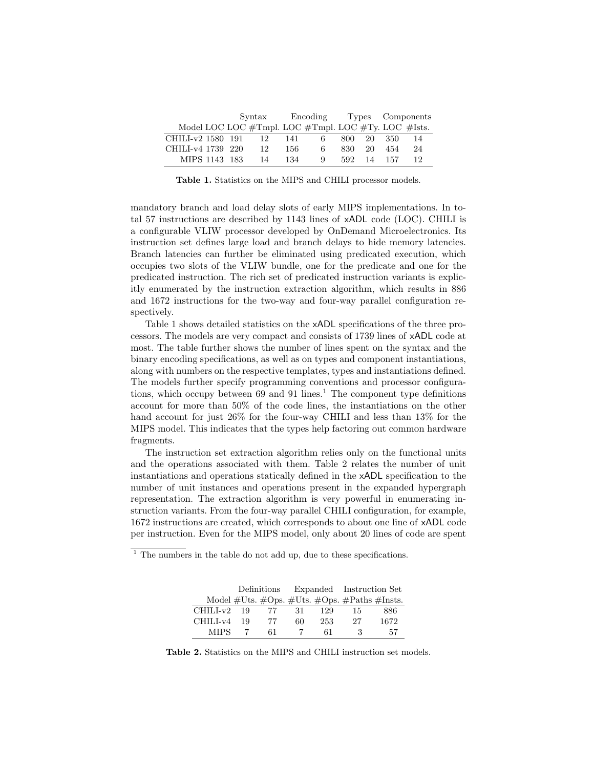|                                                     |  | $\text{Svntax}$ |      | Encoding |       |    | Types Components |    |
|-----------------------------------------------------|--|-----------------|------|----------|-------|----|------------------|----|
| Model LOC LOC #Tmpl. LOC #Tmpl. LOC #Ty. LOC #Ists. |  |                 |      |          |       |    |                  |    |
| CHILI-v2 1580 191                                   |  | 12              | 141  | 6        | 800 - | 20 | 350              | 14 |
| CHILI-v4 1739 220                                   |  | 12.             | 156. | 6        | 830-  | 20 | 454              | 24 |
| MIPS 1143 183                                       |  | 14              | 134  | 9        | 592.  | 14 | 157              | 12 |

Table 1. Statistics on the MIPS and CHILI processor models.

mandatory branch and load delay slots of early MIPS implementations. In total 57 instructions are described by 1143 lines of xADL code (LOC). CHILI is a configurable VLIW processor developed by OnDemand Microelectronics. Its instruction set defines large load and branch delays to hide memory latencies. Branch latencies can further be eliminated using predicated execution, which occupies two slots of the VLIW bundle, one for the predicate and one for the predicated instruction. The rich set of predicated instruction variants is explicitly enumerated by the instruction extraction algorithm, which results in 886 and 1672 instructions for the two-way and four-way parallel configuration respectively.

Table 1 shows detailed statistics on the xADL specifications of the three processors. The models are very compact and consists of 1739 lines of xADL code at most. The table further shows the number of lines spent on the syntax and the binary encoding specifications, as well as on types and component instantiations, along with numbers on the respective templates, types and instantiations defined. The models further specify programming conventions and processor configurations, which occupy between  $69$  and  $91$  lines.<sup>1</sup> The component type definitions account for more than 50% of the code lines, the instantiations on the other hand account for just 26% for the four-way CHILI and less than 13% for the MIPS model. This indicates that the types help factoring out common hardware fragments.

The instruction set extraction algorithm relies only on the functional units and the operations associated with them. Table 2 relates the number of unit instantiations and operations statically defined in the xADL specification to the number of unit instances and operations present in the expanded hypergraph representation. The extraction algorithm is very powerful in enumerating instruction variants. From the four-way parallel CHILI configuration, for example, 1672 instructions are created, which corresponds to about one line of xADL code per instruction. Even for the MIPS model, only about 20 lines of code are spent

 $1$ <sup>1</sup> The numbers in the table do not add up, due to these specifications.

|             |    | Definitions |    |     | Expanded Instruction Set                                   |      |
|-------------|----|-------------|----|-----|------------------------------------------------------------|------|
|             |    |             |    |     | Model $\#U$ ts. $\#Ops. \#U$ ts. $\#Ops. \#Paths \#Insts.$ |      |
| CHILI-v2    | 19 | 77          | 31 | 129 | 15                                                         | 886  |
| CHILI-v4    | 19 | 77          | 60 | 253 | 27                                                         | 1672 |
| <b>MIPS</b> |    | 61          |    | 61  | 3                                                          | 57   |

Table 2. Statistics on the MIPS and CHILI instruction set models.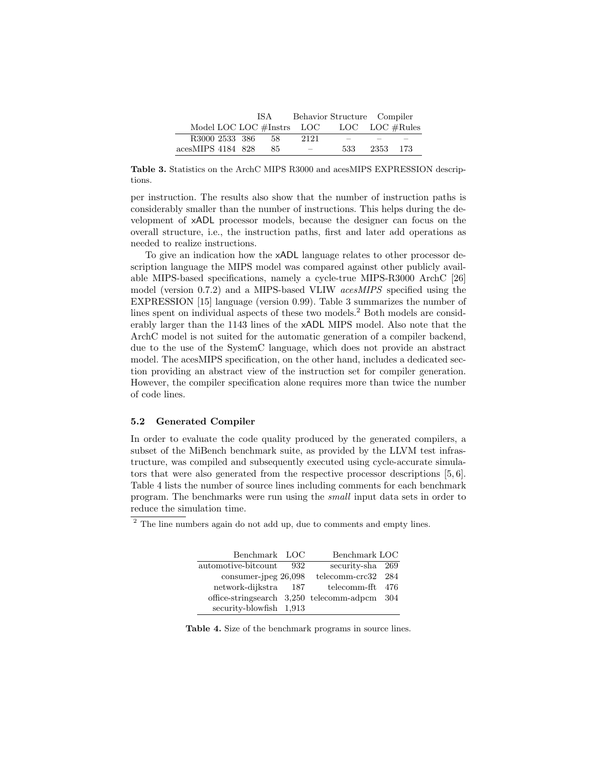|                             | IS A | Behavior Structure Compiler |                                   |          |
|-----------------------------|------|-----------------------------|-----------------------------------|----------|
| Model LOC LOC $#Instrs$ LOC |      |                             | $\text{LOC}$ LOC $\#\text{Rules}$ |          |
| R3000 2533 386              | 58   | 2121                        | $\overline{\phantom{a}}$          |          |
| acesMIPS 4184 828           | 85   | $\overline{\phantom{a}}$    | 533                               | 2353 173 |

Table 3. Statistics on the ArchC MIPS R3000 and acesMIPS EXPRESSION descriptions.

per instruction. The results also show that the number of instruction paths is considerably smaller than the number of instructions. This helps during the development of xADL processor models, because the designer can focus on the overall structure, i.e., the instruction paths, first and later add operations as needed to realize instructions.

To give an indication how the xADL language relates to other processor description language the MIPS model was compared against other publicly available MIPS-based specifications, namely a cycle-true MIPS-R3000 ArchC [26] model (version 0.7.2) and a MIPS-based VLIW acesMIPS specified using the EXPRESSION [15] language (version 0.99). Table 3 summarizes the number of lines spent on individual aspects of these two models.<sup>2</sup> Both models are considerably larger than the 1143 lines of the xADL MIPS model. Also note that the ArchC model is not suited for the automatic generation of a compiler backend, due to the use of the SystemC language, which does not provide an abstract model. The acesMIPS specification, on the other hand, includes a dedicated section providing an abstract view of the instruction set for compiler generation. However, the compiler specification alone requires more than twice the number of code lines.

#### 5.2 Generated Compiler

In order to evaluate the code quality produced by the generated compilers, a subset of the MiBench benchmark suite, as provided by the LLVM test infrastructure, was compiled and subsequently executed using cycle-accurate simulators that were also generated from the respective processor descriptions [5, 6]. Table 4 lists the number of source lines including comments for each benchmark program. The benchmarks were run using the small input data sets in order to reduce the simulation time.

 $\frac{2}{1}$  The line numbers again do not add up, due to comments and empty lines.

| Benchmark LOC           |       | Benchmark LOC                              |      |
|-------------------------|-------|--------------------------------------------|------|
| automotive-bitcount     | 932   | security-sha 269                           |      |
| $consumer-ipeg 26,098$  |       | $telecomm-erc32 284$                       |      |
| network-dijkstra        | - 187 | telecomm-fft 476                           |      |
|                         |       | office-stringsearch $3,250$ telecomm-adpcm | -304 |
| security-blowfish 1,913 |       |                                            |      |

Table 4. Size of the benchmark programs in source lines.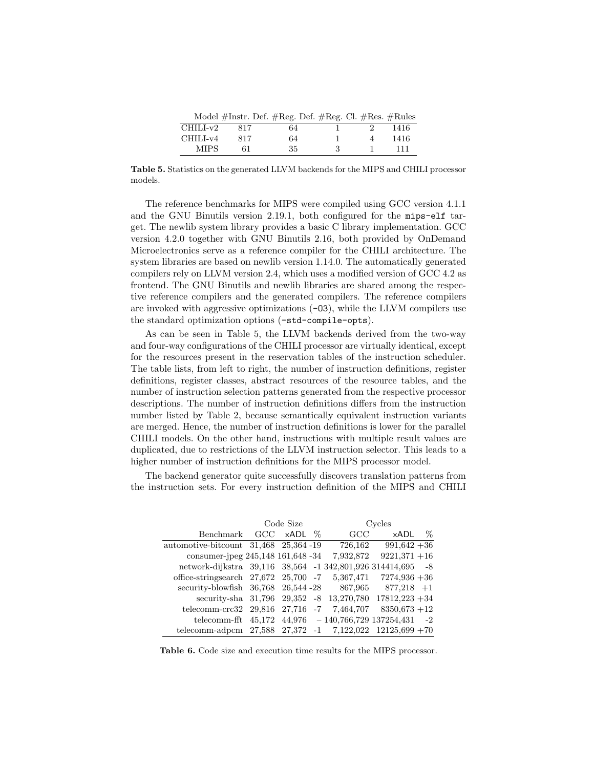|          | Model #Instr. Def. #Reg. Def. #Reg. Cl. #Res. #Rules |    |   |      |
|----------|------------------------------------------------------|----|---|------|
| CHILI-v2 | 817                                                  | 64 |   | 1416 |
| CHILI-v4 | 817                                                  | 64 |   | 1416 |
| MIPS.    | 61.                                                  | 35 | २ | 111  |

Table 5. Statistics on the generated LLVM backends for the MIPS and CHILI processor models.

The reference benchmarks for MIPS were compiled using GCC version 4.1.1 and the GNU Binutils version 2.19.1, both configured for the mips-elf target. The newlib system library provides a basic C library implementation. GCC version 4.2.0 together with GNU Binutils 2.16, both provided by OnDemand Microelectronics serve as a reference compiler for the CHILI architecture. The system libraries are based on newlib version 1.14.0. The automatically generated compilers rely on LLVM version 2.4, which uses a modified version of GCC 4.2 as frontend. The GNU Binutils and newlib libraries are shared among the respective reference compilers and the generated compilers. The reference compilers are invoked with aggressive optimizations (-O3), while the LLVM compilers use the standard optimization options (-std-compile-opts).

As can be seen in Table 5, the LLVM backends derived from the two-way and four-way configurations of the CHILI processor are virtually identical, except for the resources present in the reservation tables of the instruction scheduler. The table lists, from left to right, the number of instruction definitions, register definitions, register classes, abstract resources of the resource tables, and the number of instruction selection patterns generated from the respective processor descriptions. The number of instruction definitions differs from the instruction number listed by Table 2, because semantically equivalent instruction variants are merged. Hence, the number of instruction definitions is lower for the parallel CHILI models. On the other hand, instructions with multiple result values are duplicated, due to restrictions of the LLVM instruction selector. This leads to a higher number of instruction definitions for the MIPS processor model.

The backend generator quite successfully discovers translation patterns from the instruction sets. For every instruction definition of the MIPS and CHILI

|                                                                 | Code Size |                   |  | Cycles                               |                 |      |
|-----------------------------------------------------------------|-----------|-------------------|--|--------------------------------------|-----------------|------|
| Benchmark                                                       | GCC       | $\times$ ADL $\%$ |  | GCC                                  | xADL            | $\%$ |
| automotive-bitcount $31,468$ $25,364$ -19                       |           |                   |  | 726,162                              | $991,642+36$    |      |
| consumer-jpeg 245,148 161,648 -34                               |           |                   |  | 7,932,872                            | $9221,371 + 16$ |      |
| network-dijkstra 39,116 38,564 -1 342,801,926 314414,695 -8     |           |                   |  |                                      |                 |      |
| office-stringsearch $27,672$ $25,700$ -7                        |           |                   |  | 5,367,471                            | $7274,936+36$   |      |
| security-blowfish $36,768$ $26,544$ -28 $867,965$ $877,218$ +1  |           |                   |  |                                      |                 |      |
| security-sha $31,796$ $29,352$ -8 $13,270,780$ $17812,223 +34$  |           |                   |  |                                      |                 |      |
| telecomm-crc32 29,816 27,716 -7                                 |           |                   |  | 7,464,707                            | $8350.673 + 12$ |      |
| telecomm-fft $45,172$                                           |           |                   |  | $44,976$ - 140,766,729 137254,431 -2 |                 |      |
| telecomm-adpcm $27,588$ $27,372$ -1 $7,122,022$ $12125,699$ +70 |           |                   |  |                                      |                 |      |

Table 6. Code size and execution time results for the MIPS processor.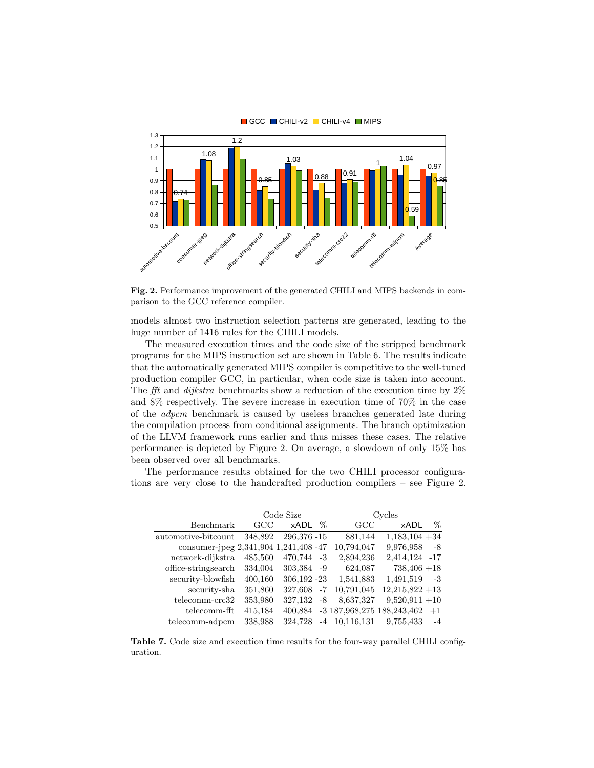

GCC CHILI-v2 CHILI-v4 MIPS

Fig. 2. Performance improvement of the generated CHILI and MIPS backends in comparison to the GCC reference compiler.

models almost two instruction selection patterns are generated, leading to the huge number of 1416 rules for the CHILI models.

The measured execution times and the code size of the stripped benchmark programs for the MIPS instruction set are shown in Table 6. The results indicate that the automatically generated MIPS compiler is competitive to the well-tuned production compiler GCC, in particular, when code size is taken into account. The fft and *dijkstra* benchmarks show a reduction of the execution time by  $2\%$ and 8% respectively. The severe increase in execution time of 70% in the case of the adpcm benchmark is caused by useless branches generated late during the compilation process from conditional assignments. The branch optimization of the LLVM framework runs earlier and thus misses these cases. The relative performance is depicted by Figure 2. On average, a slowdown of only 15% has been observed over all benchmarks.

The performance results obtained for the two CHILI processor configurations are very close to the handcrafted production compilers – see Figure 2.

|                                       | Code Size |              |      | Cycles                     |                  |      |
|---------------------------------------|-----------|--------------|------|----------------------------|------------------|------|
| Benchmark                             | GCC       | xADL         | $\%$ | $_{\rm GCC}$               | xADL             | %    |
| automotive-bitcount                   | 348,892   | 296,376 - 15 |      | 881,144                    | $1,183,104+34$   |      |
| consumer-jpeg 2,341,904 1,241,408 -47 |           |              |      | 10,794,047                 | 9,976,958        | -8   |
| network-dijkstra                      | 485,560   | 470,744 -3   |      | 2,894,236                  | 2,414,124 -17    |      |
| office-stringsearch                   | 334,004   | 303,384 -9   |      | 624,087                    | $738,406 +18$    |      |
| security-blowfish                     | 400,160   | 306,192 - 23 |      | 1,541,883                  | 1,491,519        | -3   |
| security-sha                          | 351,860   | 327,608      | $-7$ | 10,791,045                 | $12,215,822+13$  |      |
| telecomm-crc32                        | 353,980   | 327,132      | -8   | 8,637,327                  | $9,520,911 + 10$ |      |
| telecomm-fft                          | 415,184   | 400.884      |      | -3 187,968,275 188,243,462 |                  | $+1$ |
| telecomm-adpcm                        | 338,988   | 324.728      |      | $-4$ 10,116,131            | 9,755,433        | $-4$ |

Table 7. Code size and execution time results for the four-way parallel CHILI configuration.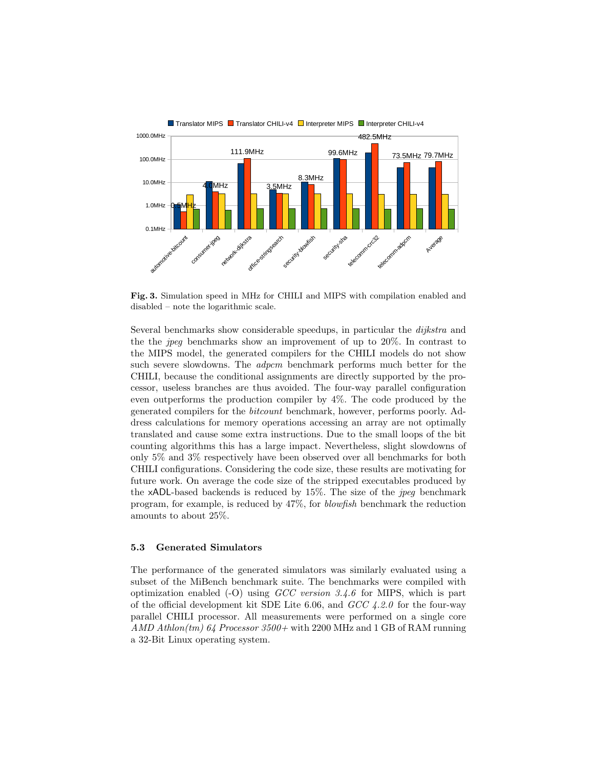

Fig. 3. Simulation speed in MHz for CHILI and MIPS with compilation enabled and disabled – note the logarithmic scale.

Several benchmarks show considerable speedups, in particular the dijkstra and the the jpeg benchmarks show an improvement of up to 20%. In contrast to the MIPS model, the generated compilers for the CHILI models do not show such severe slowdowns. The *adpcm* benchmark performs much better for the CHILI, because the conditional assignments are directly supported by the processor, useless branches are thus avoided. The four-way parallel configuration even outperforms the production compiler by 4%. The code produced by the generated compilers for the bitcount benchmark, however, performs poorly. Address calculations for memory operations accessing an array are not optimally translated and cause some extra instructions. Due to the small loops of the bit counting algorithms this has a large impact. Nevertheless, slight slowdowns of only 5% and 3% respectively have been observed over all benchmarks for both CHILI configurations. Considering the code size, these results are motivating for future work. On average the code size of the stripped executables produced by the xADL-based backends is reduced by 15%. The size of the jpeg benchmark program, for example, is reduced by 47%, for blowfish benchmark the reduction amounts to about 25%.

#### 5.3 Generated Simulators

The performance of the generated simulators was similarly evaluated using a subset of the MiBench benchmark suite. The benchmarks were compiled with optimization enabled  $(-O)$  using *GCC version 3.4.6* for MIPS, which is part of the official development kit SDE Lite 6.06, and  $GCC\ 4.2.0$  for the four-way parallel CHILI processor. All measurements were performed on a single core AMD Athlon(tm)  $64$  Processor  $3500+$  with 2200 MHz and 1 GB of RAM running a 32-Bit Linux operating system.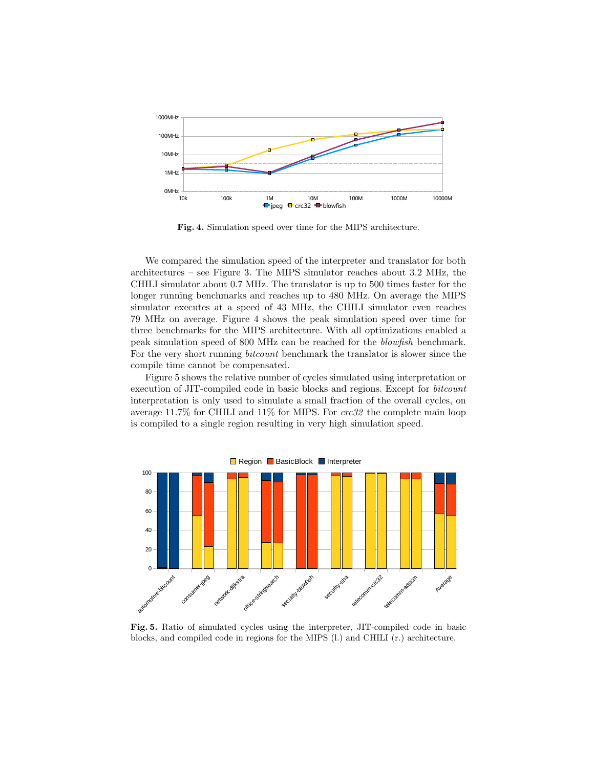

Fig. 4. Simulation speed over time for the MIPS architecture.

We compared the simulation speed of the interpreter and translator for both architectures – see Figure 3. The MIPS simulator reaches about 3.2 MHz, the CHILI simulator about 0.7 MHz. The translator is up to 500 times faster for the longer running benchmarks and reaches up to 480 MHz. On average the MIPS simulator executes at a speed of 43 MHz, the CHILI simulator even reaches 79 MHz on average. Figure 4 shows the peak simulation speed over time for three benchmarks for the MIPS architecture. With all optimizations enabled a peak simulation speed of 800 MHz can be reached for the blowfish benchmark. For the very short running bitcount benchmark the translator is slower since the compile time cannot be compensated.

Figure 5 shows the relative number of cycles simulated using interpretation or execution of JIT-compiled code in basic blocks and regions. Except for bitcount interpretation is only used to simulate a small fraction of the overall cycles, on average 11.7% for CHILI and 11% for MIPS. For crc32 the complete main loop is compiled to a single region resulting in very high simulation speed.



Fig. 5. Ratio of simulated cycles using the interpreter, JIT-compiled code in basic blocks, and compiled code in regions for the MIPS (l.) and CHILI (r.) architecture.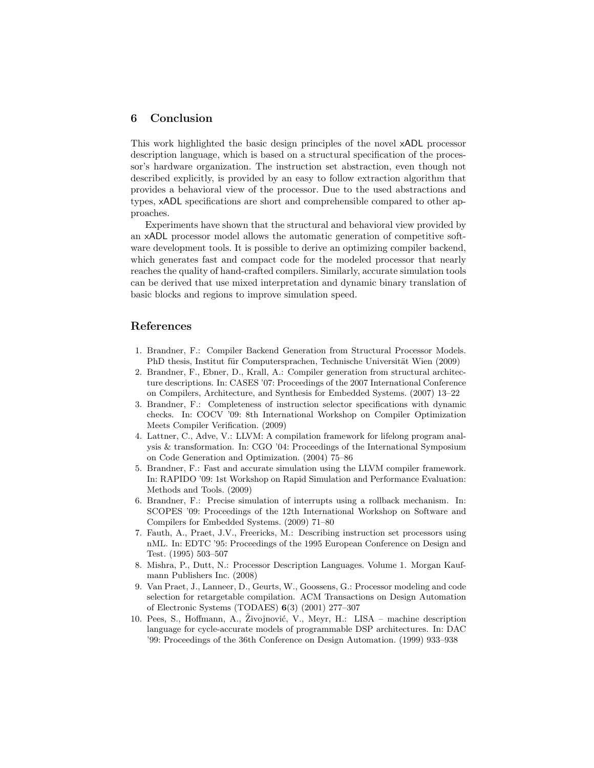### 6 Conclusion

This work highlighted the basic design principles of the novel xADL processor description language, which is based on a structural specification of the processor's hardware organization. The instruction set abstraction, even though not described explicitly, is provided by an easy to follow extraction algorithm that provides a behavioral view of the processor. Due to the used abstractions and types, xADL specifications are short and comprehensible compared to other approaches.

Experiments have shown that the structural and behavioral view provided by an xADL processor model allows the automatic generation of competitive software development tools. It is possible to derive an optimizing compiler backend, which generates fast and compact code for the modeled processor that nearly reaches the quality of hand-crafted compilers. Similarly, accurate simulation tools can be derived that use mixed interpretation and dynamic binary translation of basic blocks and regions to improve simulation speed.

#### References

- 1. Brandner, F.: Compiler Backend Generation from Structural Processor Models. PhD thesis, Institut für Computersprachen, Technische Universität Wien (2009)
- 2. Brandner, F., Ebner, D., Krall, A.: Compiler generation from structural architecture descriptions. In: CASES '07: Proceedings of the 2007 International Conference on Compilers, Architecture, and Synthesis for Embedded Systems. (2007) 13–22
- 3. Brandner, F.: Completeness of instruction selector specifications with dynamic checks. In: COCV '09: 8th International Workshop on Compiler Optimization Meets Compiler Verification. (2009)
- 4. Lattner, C., Adve, V.: LLVM: A compilation framework for lifelong program analysis & transformation. In: CGO '04: Proceedings of the International Symposium on Code Generation and Optimization. (2004) 75–86
- 5. Brandner, F.: Fast and accurate simulation using the LLVM compiler framework. In: RAPIDO '09: 1st Workshop on Rapid Simulation and Performance Evaluation: Methods and Tools. (2009)
- 6. Brandner, F.: Precise simulation of interrupts using a rollback mechanism. In: SCOPES '09: Proceedings of the 12th International Workshop on Software and Compilers for Embedded Systems. (2009) 71–80
- 7. Fauth, A., Praet, J.V., Freericks, M.: Describing instruction set processors using nML. In: EDTC '95: Proceedings of the 1995 European Conference on Design and Test. (1995) 503–507
- 8. Mishra, P., Dutt, N.: Processor Description Languages. Volume 1. Morgan Kaufmann Publishers Inc. (2008)
- 9. Van Praet, J., Lanneer, D., Geurts, W., Goossens, G.: Processor modeling and code selection for retargetable compilation. ACM Transactions on Design Automation of Electronic Systems (TODAES) 6(3) (2001) 277–307
- 10. Pees, S., Hoffmann, A., Živojnović, V., Meyr, H.: LISA machine description language for cycle-accurate models of programmable DSP architectures. In: DAC '99: Proceedings of the 36th Conference on Design Automation. (1999) 933–938